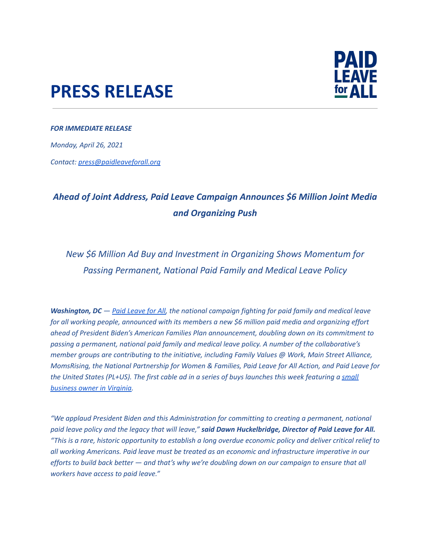## **PRESS RELEASE**



## *FOR IMMEDIATE RELEASE*

*Monday, April 26, 2021*

*Contact: press@paidleaveforall.org*

## *Ahead of Joint Address, Paid Leave Campaign Announces \$6 Million Joint Media and Organizing Push*

*New \$6 Million Ad Buy and Investment in Organizing Shows Momentum for Passing Permanent, National Paid Family and Medical Leave Policy*

*Washington, DC — Paid [Leave](https://paidleaveforall.org/) for All, the national campaign fighting for paid family and medical leave for all working people, announced with its members a new \$6 million paid media and organizing effort ahead of President Biden's American Families Plan announcement, doubling down on its commitment to passing a permanent, national paid family and medical leave policy. A number of the collaborative's member groups are contributing to the initiative, including Family Values @ Work, Main Street Alliance, MomsRising, the National Partnership for Women & Families, Paid Leave for All Action, and Paid Leave for* the United States (PL+US). The first cable ad in a series of buys launches this week featuring a [small](https://www.smallbusinessforpaidleave.org/paid-leave-stories/mike-hamlar-hamlar-curtis-funeral-home) *[business](https://www.smallbusinessforpaidleave.org/paid-leave-stories/mike-hamlar-hamlar-curtis-funeral-home) owner in Virginia.*

*"We applaud President Biden and this Administration for committing to creating a permanent, national* paid leave policy and the legacy that will leave," said Dawn Huckelbridge, Director of Paid Leave for All. "This is a rare, historic opportunity to establish a long overdue economic policy and deliver critical relief to *all working Americans. Paid leave must be treated as an economic and infrastructure imperative in our* efforts to build back better - and that's why we're doubling down on our campaign to ensure that all *workers have access to paid leave."*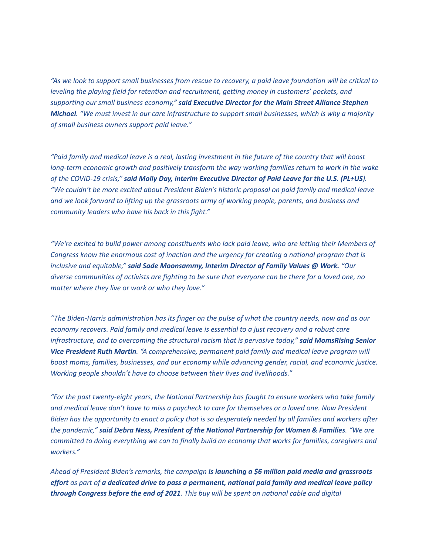"As we look to support small businesses from rescue to recovery, a paid leave foundation will be critical to *leveling the playing field for retention and recruitment, getting money in customers' pockets, and supporting our small business economy," said Executive Director for the Main Street Alliance Stephen* Michael. "We must invest in our care infrastructure to support small businesses, which is why a majority *of small business owners support paid leave."*

"Paid family and medical leave is a real, lasting investment in the future of the country that will boost *long-term economic growth and positively transform the way working families return to work in the wake* of the COVID-19 crisis," said Molly Day, interim Executive Director of Paid Leave for the U.S. (PL+US). *"We couldn't be more excited about President Biden's historic proposal on paid family and medical leave and we look forward to lifting up the grassroots army of working people, parents, and business and community leaders who have his back in this fight."*

*"We're excited to build power among constituents who lack paid leave, who are letting their Members of Congress know the enormous cost of inaction and the urgency for creating a national program that is inclusive and equitable," said Sade Moonsammy, Interim Director of Family Values @ Work. "Our* diverse communities of activists are fighting to be sure that everyone can be there for a loved one, no *matter where they live or work or who they love."*

"The Biden-Harris administration has its finger on the pulse of what the country needs, now and as our *economy recovers. Paid family and medical leave is essential to a just recovery and a robust care infrastructure, and to overcoming the structural racism that is pervasive today," said MomsRising Senior Vice President Ruth Martin. "A comprehensive, permanent paid family and medical leave program will boost moms, families, businesses, and our economy while advancing gender, racial, and economic justice. Working people shouldn't have to choose between their lives and livelihoods."*

*"For the past twenty-eight years, the National Partnership has fought to ensure workers who take family* and medical leave don't have to miss a paycheck to care for themselves or a loved one. Now President Biden has the opportunity to enact a policy that is so desperately needed by all families and workers after *the pandemic," said Debra Ness, President of the National Partnership for Women & Families. "We are committed to doing everything we can to finally build an economy that works for families, caregivers and workers."*

*Ahead of President Biden's remarks, the campaign is launching a \$6 million paid media and grassroots* effort as part of a dedicated drive to pass a permanent, national paid family and medical leave policy *through Congress before the end of 2021. This buy will be spent on national cable and digital*